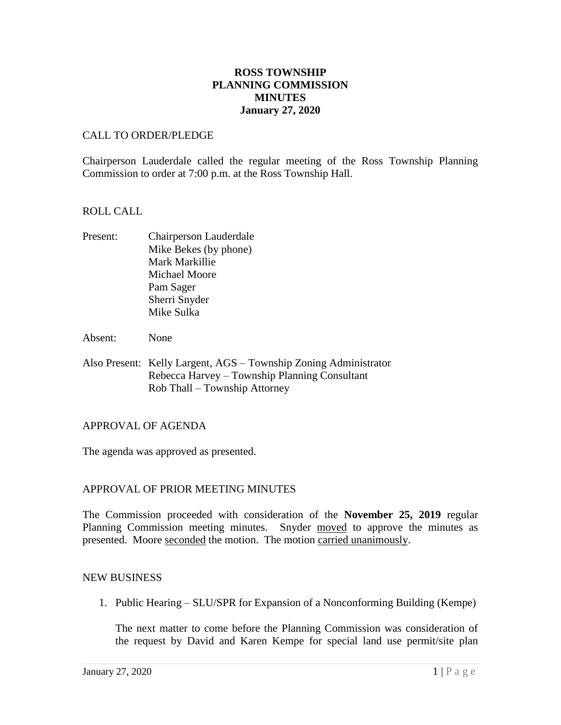# **ROSS TOWNSHIP PLANNING COMMISSION MINUTES January 27, 2020**

### CALL TO ORDER/PLEDGE

Chairperson Lauderdale called the regular meeting of the Ross Township Planning Commission to order at 7:00 p.m. at the Ross Township Hall.

### ROLL CALL

- Present: Chairperson Lauderdale Mike Bekes (by phone) Mark Markillie Michael Moore Pam Sager Sherri Snyder Mike Sulka
- Absent: None
- Also Present: Kelly Largent, AGS Township Zoning Administrator Rebecca Harvey – Township Planning Consultant Rob Thall – Township Attorney

#### APPROVAL OF AGENDA

The agenda was approved as presented.

# APPROVAL OF PRIOR MEETING MINUTES

The Commission proceeded with consideration of the **November 25, 2019** regular Planning Commission meeting minutes. Snyder moved to approve the minutes as presented. Moore seconded the motion. The motion carried unanimously.

#### NEW BUSINESS

1. Public Hearing – SLU/SPR for Expansion of a Nonconforming Building (Kempe)

The next matter to come before the Planning Commission was consideration of the request by David and Karen Kempe for special land use permit/site plan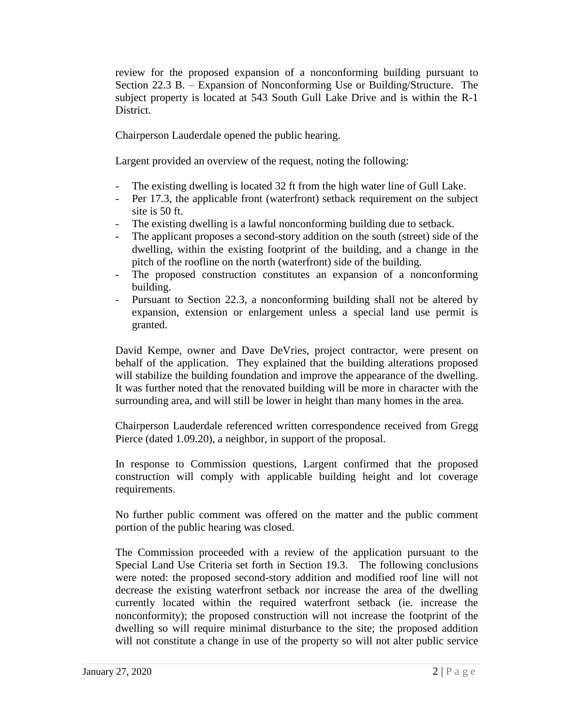review for the proposed expansion of a nonconforming building pursuant to Section 22.3 B. – Expansion of Nonconforming Use or Building/Structure. The subject property is located at 543 South Gull Lake Drive and is within the R-1 District.

Chairperson Lauderdale opened the public hearing.

Largent provided an overview of the request, noting the following:

- The existing dwelling is located 32 ft from the high water line of Gull Lake.
- Per 17.3, the applicable front (waterfront) setback requirement on the subject site is 50 ft.
- The existing dwelling is a lawful nonconforming building due to setback.
- The applicant proposes a second-story addition on the south (street) side of the dwelling, within the existing footprint of the building, and a change in the pitch of the roofline on the north (waterfront) side of the building.
- The proposed construction constitutes an expansion of a nonconforming building.
- Pursuant to Section 22.3, a nonconforming building shall not be altered by expansion, extension or enlargement unless a special land use permit is granted.

David Kempe, owner and Dave DeVries, project contractor, were present on behalf of the application. They explained that the building alterations proposed will stabilize the building foundation and improve the appearance of the dwelling. It was further noted that the renovated building will be more in character with the surrounding area, and will still be lower in height than many homes in the area.

Chairperson Lauderdale referenced written correspondence received from Gregg Pierce (dated 1.09.20), a neighbor, in support of the proposal.

In response to Commission questions, Largent confirmed that the proposed construction will comply with applicable building height and lot coverage requirements.

No further public comment was offered on the matter and the public comment portion of the public hearing was closed.

The Commission proceeded with a review of the application pursuant to the Special Land Use Criteria set forth in Section 19.3. The following conclusions were noted: the proposed second-story addition and modified roof line will not decrease the existing waterfront setback nor increase the area of the dwelling currently located within the required waterfront setback (ie. increase the nonconformity); the proposed construction will not increase the footprint of the dwelling so will require minimal disturbance to the site; the proposed addition will not constitute a change in use of the property so will not alter public service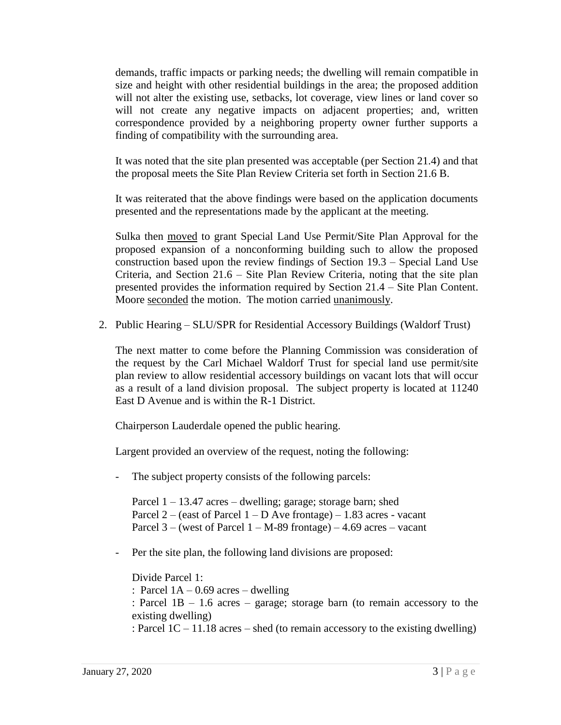demands, traffic impacts or parking needs; the dwelling will remain compatible in size and height with other residential buildings in the area; the proposed addition will not alter the existing use, setbacks, lot coverage, view lines or land cover so will not create any negative impacts on adjacent properties; and, written correspondence provided by a neighboring property owner further supports a finding of compatibility with the surrounding area.

It was noted that the site plan presented was acceptable (per Section 21.4) and that the proposal meets the Site Plan Review Criteria set forth in Section 21.6 B.

It was reiterated that the above findings were based on the application documents presented and the representations made by the applicant at the meeting.

Sulka then moved to grant Special Land Use Permit/Site Plan Approval for the proposed expansion of a nonconforming building such to allow the proposed construction based upon the review findings of Section 19.3 – Special Land Use Criteria, and Section 21.6 – Site Plan Review Criteria, noting that the site plan presented provides the information required by Section 21.4 – Site Plan Content. Moore seconded the motion. The motion carried unanimously.

2. Public Hearing – SLU/SPR for Residential Accessory Buildings (Waldorf Trust)

The next matter to come before the Planning Commission was consideration of the request by the Carl Michael Waldorf Trust for special land use permit/site plan review to allow residential accessory buildings on vacant lots that will occur as a result of a land division proposal. The subject property is located at 11240 East D Avenue and is within the R-1 District.

Chairperson Lauderdale opened the public hearing.

Largent provided an overview of the request, noting the following:

The subject property consists of the following parcels:

Parcel 1 – 13.47 acres – dwelling; garage; storage barn; shed Parcel 2 – (east of Parcel  $1 - D$  Ave frontage) – 1.83 acres - vacant Parcel  $3 -$  (west of Parcel  $1 - M-89$  frontage)  $- 4.69$  acres  $-$  vacant

- Per the site plan, the following land divisions are proposed:

Divide Parcel 1: : Parcel  $1A - 0.69$  acres – dwelling : Parcel 1B – 1.6 acres – garage; storage barn (to remain accessory to the existing dwelling) : Parcel 1C – 11.18 acres – shed (to remain accessory to the existing dwelling)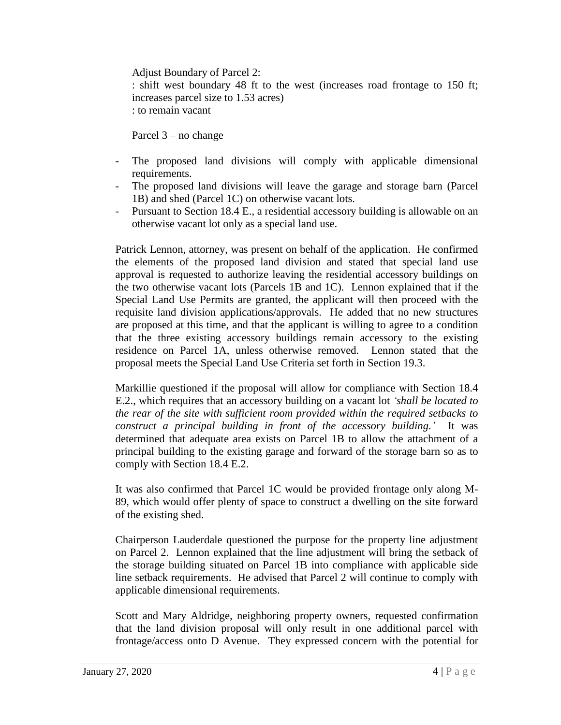Adjust Boundary of Parcel 2: : shift west boundary 48 ft to the west (increases road frontage to 150 ft; increases parcel size to 1.53 acres) : to remain vacant

Parcel 3 – no change

- The proposed land divisions will comply with applicable dimensional requirements.
- The proposed land divisions will leave the garage and storage barn (Parcel 1B) and shed (Parcel 1C) on otherwise vacant lots.
- Pursuant to Section 18.4 E., a residential accessory building is allowable on an otherwise vacant lot only as a special land use.

Patrick Lennon, attorney, was present on behalf of the application. He confirmed the elements of the proposed land division and stated that special land use approval is requested to authorize leaving the residential accessory buildings on the two otherwise vacant lots (Parcels 1B and 1C). Lennon explained that if the Special Land Use Permits are granted, the applicant will then proceed with the requisite land division applications/approvals. He added that no new structures are proposed at this time, and that the applicant is willing to agree to a condition that the three existing accessory buildings remain accessory to the existing residence on Parcel 1A, unless otherwise removed. Lennon stated that the proposal meets the Special Land Use Criteria set forth in Section 19.3.

Markillie questioned if the proposal will allow for compliance with Section 18.4 E.2., which requires that an accessory building on a vacant lot *'shall be located to the rear of the site with sufficient room provided within the required setbacks to construct a principal building in front of the accessory building.'* It was determined that adequate area exists on Parcel 1B to allow the attachment of a principal building to the existing garage and forward of the storage barn so as to comply with Section 18.4 E.2.

It was also confirmed that Parcel 1C would be provided frontage only along M-89, which would offer plenty of space to construct a dwelling on the site forward of the existing shed.

Chairperson Lauderdale questioned the purpose for the property line adjustment on Parcel 2. Lennon explained that the line adjustment will bring the setback of the storage building situated on Parcel 1B into compliance with applicable side line setback requirements. He advised that Parcel 2 will continue to comply with applicable dimensional requirements.

Scott and Mary Aldridge, neighboring property owners, requested confirmation that the land division proposal will only result in one additional parcel with frontage/access onto D Avenue. They expressed concern with the potential for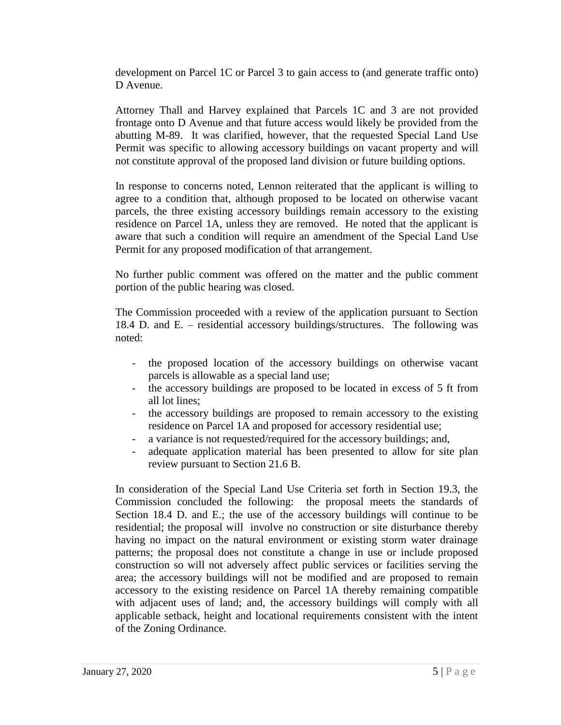development on Parcel 1C or Parcel 3 to gain access to (and generate traffic onto) D Avenue.

Attorney Thall and Harvey explained that Parcels 1C and 3 are not provided frontage onto D Avenue and that future access would likely be provided from the abutting M-89. It was clarified, however, that the requested Special Land Use Permit was specific to allowing accessory buildings on vacant property and will not constitute approval of the proposed land division or future building options.

In response to concerns noted, Lennon reiterated that the applicant is willing to agree to a condition that, although proposed to be located on otherwise vacant parcels, the three existing accessory buildings remain accessory to the existing residence on Parcel 1A, unless they are removed. He noted that the applicant is aware that such a condition will require an amendment of the Special Land Use Permit for any proposed modification of that arrangement.

No further public comment was offered on the matter and the public comment portion of the public hearing was closed.

The Commission proceeded with a review of the application pursuant to Section 18.4 D. and E. – residential accessory buildings/structures. The following was noted:

- the proposed location of the accessory buildings on otherwise vacant parcels is allowable as a special land use;
- the accessory buildings are proposed to be located in excess of 5 ft from all lot lines;
- the accessory buildings are proposed to remain accessory to the existing residence on Parcel 1A and proposed for accessory residential use;
- a variance is not requested/required for the accessory buildings; and,
- adequate application material has been presented to allow for site plan review pursuant to Section 21.6 B.

In consideration of the Special Land Use Criteria set forth in Section 19.3, the Commission concluded the following: the proposal meets the standards of Section 18.4 D. and E.; the use of the accessory buildings will continue to be residential; the proposal will involve no construction or site disturbance thereby having no impact on the natural environment or existing storm water drainage patterns; the proposal does not constitute a change in use or include proposed construction so will not adversely affect public services or facilities serving the area; the accessory buildings will not be modified and are proposed to remain accessory to the existing residence on Parcel 1A thereby remaining compatible with adjacent uses of land; and, the accessory buildings will comply with all applicable setback, height and locational requirements consistent with the intent of the Zoning Ordinance.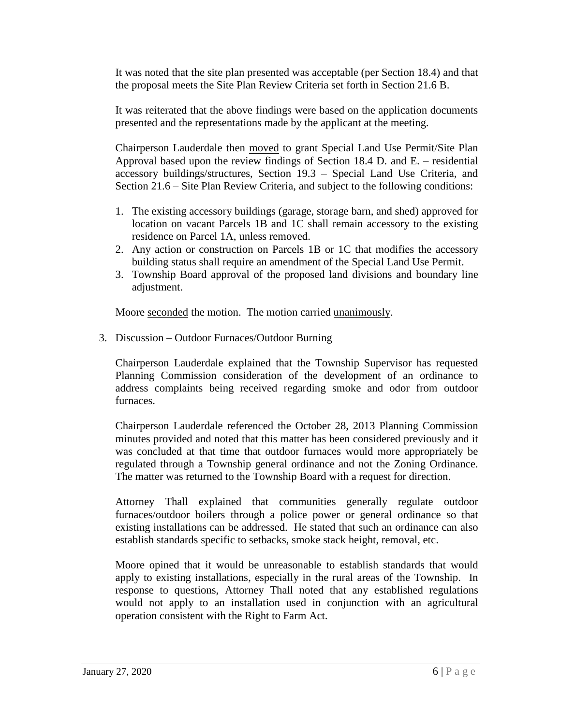It was noted that the site plan presented was acceptable (per Section 18.4) and that the proposal meets the Site Plan Review Criteria set forth in Section 21.6 B.

It was reiterated that the above findings were based on the application documents presented and the representations made by the applicant at the meeting.

Chairperson Lauderdale then moved to grant Special Land Use Permit/Site Plan Approval based upon the review findings of Section 18.4 D. and E. – residential accessory buildings/structures, Section 19.3 – Special Land Use Criteria, and Section 21.6 – Site Plan Review Criteria, and subject to the following conditions:

- 1. The existing accessory buildings (garage, storage barn, and shed) approved for location on vacant Parcels 1B and 1C shall remain accessory to the existing residence on Parcel 1A, unless removed.
- 2. Any action or construction on Parcels 1B or 1C that modifies the accessory building status shall require an amendment of the Special Land Use Permit.
- 3. Township Board approval of the proposed land divisions and boundary line adjustment.

Moore seconded the motion. The motion carried unanimously.

3. Discussion – Outdoor Furnaces/Outdoor Burning

Chairperson Lauderdale explained that the Township Supervisor has requested Planning Commission consideration of the development of an ordinance to address complaints being received regarding smoke and odor from outdoor furnaces.

Chairperson Lauderdale referenced the October 28, 2013 Planning Commission minutes provided and noted that this matter has been considered previously and it was concluded at that time that outdoor furnaces would more appropriately be regulated through a Township general ordinance and not the Zoning Ordinance. The matter was returned to the Township Board with a request for direction.

Attorney Thall explained that communities generally regulate outdoor furnaces/outdoor boilers through a police power or general ordinance so that existing installations can be addressed. He stated that such an ordinance can also establish standards specific to setbacks, smoke stack height, removal, etc.

Moore opined that it would be unreasonable to establish standards that would apply to existing installations, especially in the rural areas of the Township. In response to questions, Attorney Thall noted that any established regulations would not apply to an installation used in conjunction with an agricultural operation consistent with the Right to Farm Act.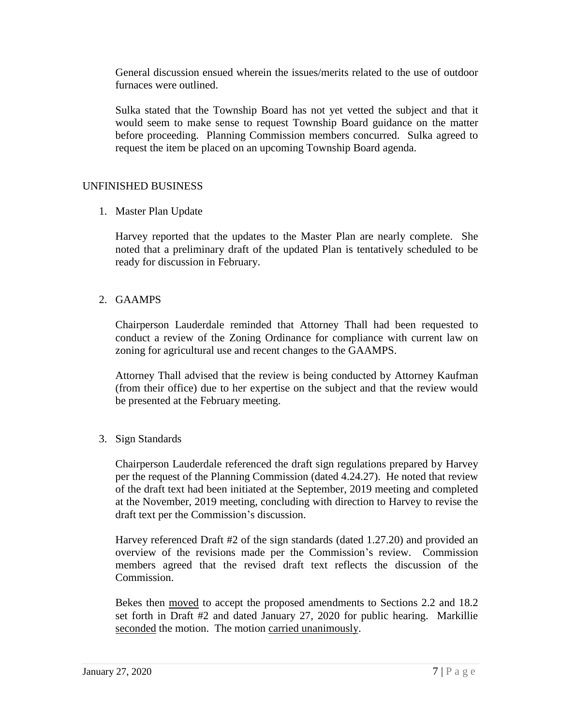General discussion ensued wherein the issues/merits related to the use of outdoor furnaces were outlined.

Sulka stated that the Township Board has not yet vetted the subject and that it would seem to make sense to request Township Board guidance on the matter before proceeding. Planning Commission members concurred. Sulka agreed to request the item be placed on an upcoming Township Board agenda.

### UNFINISHED BUSINESS

1. Master Plan Update

Harvey reported that the updates to the Master Plan are nearly complete. She noted that a preliminary draft of the updated Plan is tentatively scheduled to be ready for discussion in February.

2. GAAMPS

Chairperson Lauderdale reminded that Attorney Thall had been requested to conduct a review of the Zoning Ordinance for compliance with current law on zoning for agricultural use and recent changes to the GAAMPS.

Attorney Thall advised that the review is being conducted by Attorney Kaufman (from their office) due to her expertise on the subject and that the review would be presented at the February meeting.

3. Sign Standards

Chairperson Lauderdale referenced the draft sign regulations prepared by Harvey per the request of the Planning Commission (dated 4.24.27). He noted that review of the draft text had been initiated at the September, 2019 meeting and completed at the November, 2019 meeting, concluding with direction to Harvey to revise the draft text per the Commission's discussion.

Harvey referenced Draft #2 of the sign standards (dated 1.27.20) and provided an overview of the revisions made per the Commission's review. Commission members agreed that the revised draft text reflects the discussion of the Commission.

Bekes then moved to accept the proposed amendments to Sections 2.2 and 18.2 set forth in Draft #2 and dated January 27, 2020 for public hearing. Markillie seconded the motion. The motion carried unanimously.